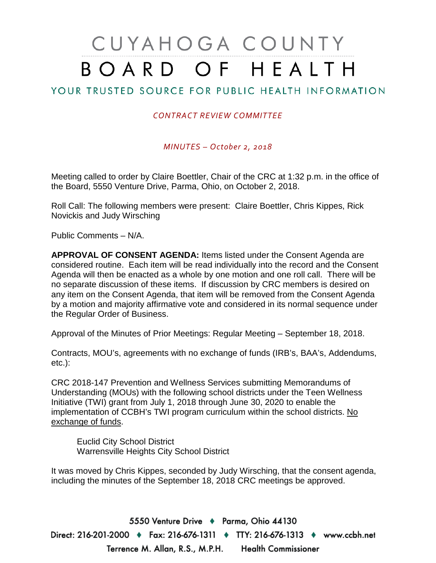# CUYAHOGA COUNTY BOARD OF HEALTH

### YOUR TRUSTED SOURCE FOR PUBLIC HEALTH INFORMATION

#### *CONTRACT REVIEW COMMITTEE*

*MINUTES – October 2, 2018*

Meeting called to order by Claire Boettler, Chair of the CRC at 1:32 p.m. in the office of the Board, 5550 Venture Drive, Parma, Ohio, on October 2, 2018.

Roll Call: The following members were present: Claire Boettler, Chris Kippes, Rick Novickis and Judy Wirsching

Public Comments – N/A.

**APPROVAL OF CONSENT AGENDA:** Items listed under the Consent Agenda are considered routine. Each item will be read individually into the record and the Consent Agenda will then be enacted as a whole by one motion and one roll call. There will be no separate discussion of these items. If discussion by CRC members is desired on any item on the Consent Agenda, that item will be removed from the Consent Agenda by a motion and majority affirmative vote and considered in its normal sequence under the Regular Order of Business.

Approval of the Minutes of Prior Meetings: Regular Meeting – September 18, 2018.

Contracts, MOU's, agreements with no exchange of funds (IRB's, BAA's, Addendums, etc.):

CRC 2018-147 Prevention and Wellness Services submitting Memorandums of Understanding (MOUs) with the following school districts under the Teen Wellness Initiative (TWI) grant from July 1, 2018 through June 30, 2020 to enable the implementation of CCBH's TWI program curriculum within the school districts. No exchange of funds.

Euclid City School District Warrensville Heights City School District

It was moved by Chris Kippes, seconded by Judy Wirsching, that the consent agenda, including the minutes of the September 18, 2018 CRC meetings be approved.

5550 Venture Drive + Parma, Ohio 44130 Direct: 216-201-2000 ♦ Fax: 216-676-1311 ♦ TTY: 216-676-1313 ♦ www.ccbh.net Terrence M. Allan, R.S., M.P.H. Health Commissioner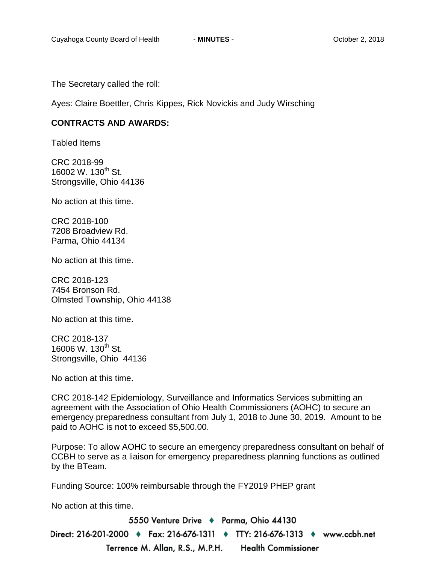The Secretary called the roll:

Ayes: Claire Boettler, Chris Kippes, Rick Novickis and Judy Wirsching

#### **CONTRACTS AND AWARDS:**

Tabled Items

CRC 2018-99 16002 W. 130<sup>th</sup> St. Strongsville, Ohio 44136

No action at this time.

CRC 2018-100 7208 Broadview Rd. Parma, Ohio 44134

No action at this time.

CRC 2018-123 7454 Bronson Rd. Olmsted Township, Ohio 44138

No action at this time.

CRC 2018-137 16006 W. 130<sup>th</sup> St. Strongsville, Ohio 44136

No action at this time.

CRC 2018-142 Epidemiology, Surveillance and Informatics Services submitting an agreement with the Association of Ohio Health Commissioners (AOHC) to secure an emergency preparedness consultant from July 1, 2018 to June 30, 2019. Amount to be paid to AOHC is not to exceed \$5,500.00.

Purpose: To allow AOHC to secure an emergency preparedness consultant on behalf of CCBH to serve as a liaison for emergency preparedness planning functions as outlined by the BTeam.

Funding Source: 100% reimbursable through the FY2019 PHEP grant

No action at this time.

5550 Venture Drive + Parma, Ohio 44130 Direct: 216-201-2000 ♦ Fax: 216-676-1311 ♦ TTY: 216-676-1313 ♦ www.ccbh.net Terrence M. Allan, R.S., M.P.H. Health Commissioner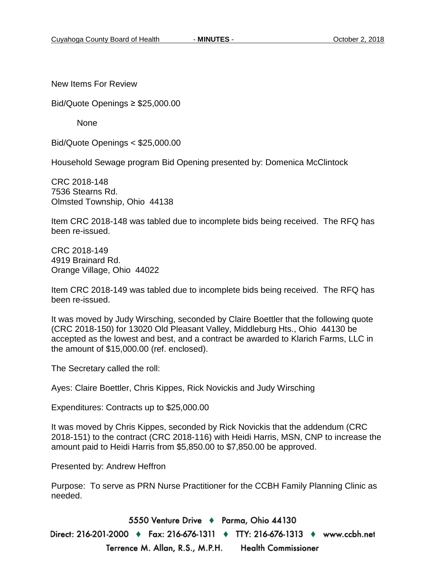New Items For Review

Bid/Quote Openings ≥ \$25,000.00

None

Bid/Quote Openings < \$25,000.00

Household Sewage program Bid Opening presented by: Domenica McClintock

CRC 2018-148 7536 Stearns Rd. Olmsted Township, Ohio 44138

Item CRC 2018-148 was tabled due to incomplete bids being received. The RFQ has been re-issued.

CRC 2018-149 4919 Brainard Rd. Orange Village, Ohio 44022

Item CRC 2018-149 was tabled due to incomplete bids being received. The RFQ has been re-issued.

It was moved by Judy Wirsching, seconded by Claire Boettler that the following quote (CRC 2018-150) for 13020 Old Pleasant Valley, Middleburg Hts., Ohio 44130 be accepted as the lowest and best, and a contract be awarded to Klarich Farms, LLC in the amount of \$15,000.00 (ref. enclosed).

The Secretary called the roll:

Ayes: Claire Boettler, Chris Kippes, Rick Novickis and Judy Wirsching

Expenditures: Contracts up to \$25,000.00

It was moved by Chris Kippes, seconded by Rick Novickis that the addendum (CRC 2018-151) to the contract (CRC 2018-116) with Heidi Harris, MSN, CNP to increase the amount paid to Heidi Harris from \$5,850.00 to \$7,850.00 be approved.

Presented by: Andrew Heffron

Purpose: To serve as PRN Nurse Practitioner for the CCBH Family Planning Clinic as needed.

5550 Venture Drive + Parma, Ohio 44130 Direct: 216-201-2000 ♦ Fax: 216-676-1311 ♦ TTY: 216-676-1313 ♦ www.ccbh.net Terrence M. Allan, R.S., M.P.H. Health Commissioner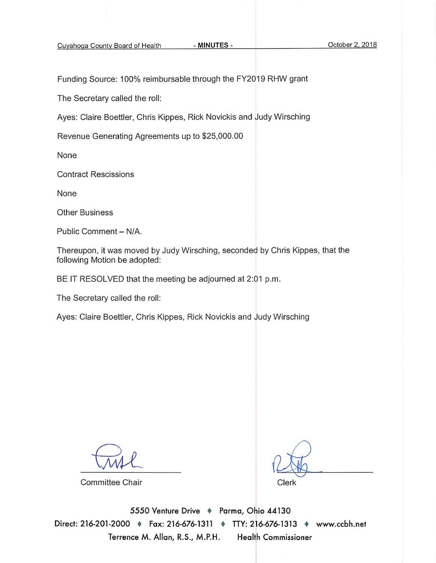Cuyahoga County Board of Health

- MINUTES -

Funding Source: 100% reimbursable through the FY2019 RHW grant

The Secretary called the roll:

Ayes: Claire Boettler, Chris Kippes, Rick Novickis and Judy Wirsching

Revenue Generating Agreements up to \$25,000.00

None

**Contract Rescissions** 

None

**Other Business** 

Public Comment - N/A.

Thereupon, it was moved by Judy Wirsching, seconded by Chris Kippes, that the following Motion be adopted:

BE IT RESOLVED that the meeting be adjourned at 2:01 p.m.

The Secretary called the roll:

Ayes: Claire Boettler, Chris Kippes, Rick Novickis and Judy Wirsching

**Committee Chair** 

Clerk

5550 Venture Drive + Parma, Ohio 44130 Direct: 216-201-2000 + Fax: 216-676-1311 + TTY: 216-676-1313 + www.ccbh.net Terrence M. Allan, R.S., M.P.H. **Health Commissioner**